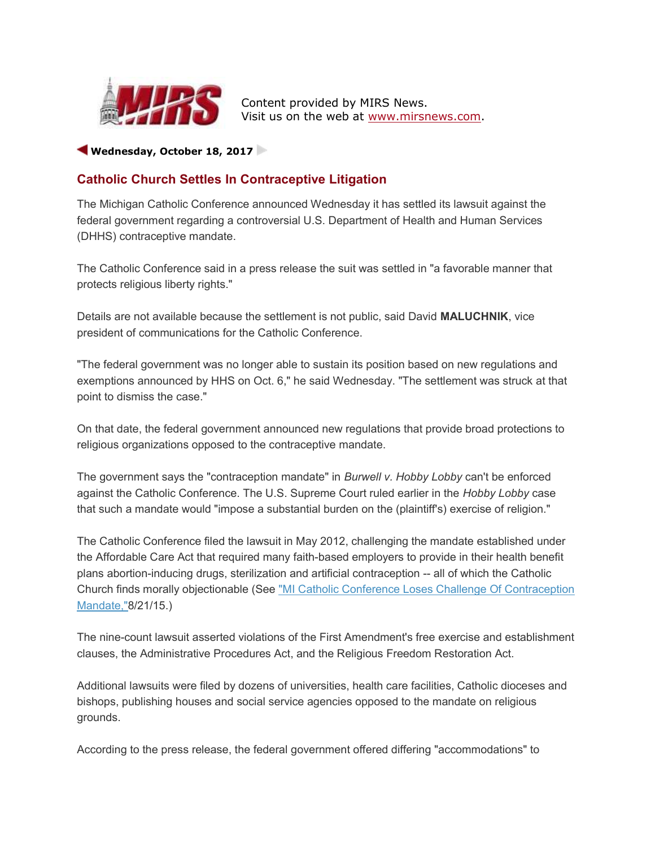

 Content provided by MIRS News. Visit us on the web at www.mirsnews.com.

## Wednesday, October 18, 2017

## Catholic Church Settles In Contraceptive Litigation

The Michigan Catholic Conference announced Wednesday it has settled its lawsuit against the federal government regarding a controversial U.S. Department of Health and Human Services (DHHS) contraceptive mandate.

The Catholic Conference said in a press release the suit was settled in "a favorable manner that protects religious liberty rights."

Details are not available because the settlement is not public, said David MALUCHNIK, vice president of communications for the Catholic Conference.

"The federal government was no longer able to sustain its position based on new regulations and exemptions announced by HHS on Oct. 6," he said Wednesday. "The settlement was struck at that point to dismiss the case."

On that date, the federal government announced new regulations that provide broad protections to religious organizations opposed to the contraceptive mandate.

The government says the "contraception mandate" in Burwell v. Hobby Lobby can't be enforced against the Catholic Conference. The U.S. Supreme Court ruled earlier in the Hobby Lobby case that such a mandate would "impose a substantial burden on the (plaintiff's) exercise of religion."

The Catholic Conference filed the lawsuit in May 2012, challenging the mandate established under the Affordable Care Act that required many faith-based employers to provide in their health benefit plans abortion-inducing drugs, sterilization and artificial contraception -- all of which the Catholic Church finds morally objectionable (See "MI Catholic Conference Loses Challenge Of Contraception Mandate,"8/21/15.)

The nine-count lawsuit asserted violations of the First Amendment's free exercise and establishment clauses, the Administrative Procedures Act, and the Religious Freedom Restoration Act.

Additional lawsuits were filed by dozens of universities, health care facilities, Catholic dioceses and bishops, publishing houses and social service agencies opposed to the mandate on religious grounds.

According to the press release, the federal government offered differing "accommodations" to